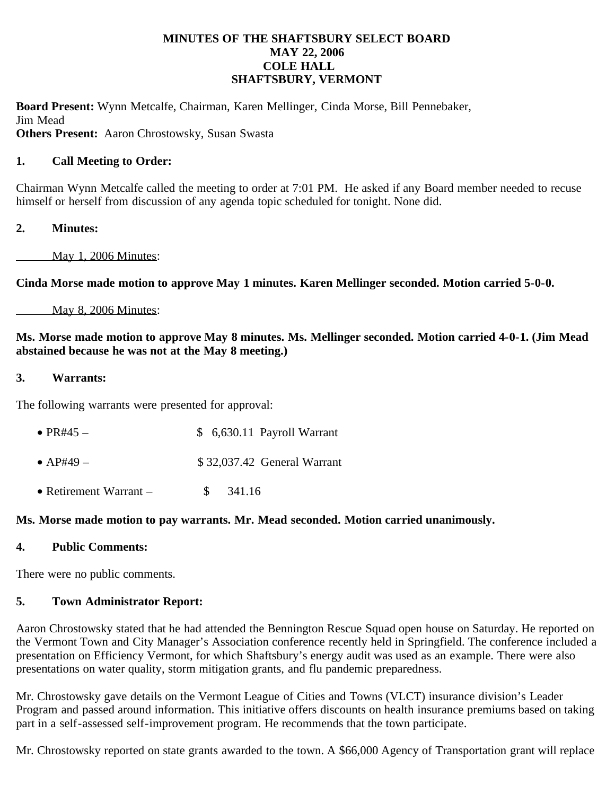### **MINUTES OF THE SHAFTSBURY SELECT BOARD MAY 22, 2006 COLE HALL SHAFTSBURY, VERMONT**

**Board Present:** Wynn Metcalfe, Chairman, Karen Mellinger, Cinda Morse, Bill Pennebaker, Jim Mead

**Others Present:** Aaron Chrostowsky, Susan Swasta

## **1. Call Meeting to Order:**

Chairman Wynn Metcalfe called the meeting to order at 7:01 PM. He asked if any Board member needed to recuse himself or herself from discussion of any agenda topic scheduled for tonight. None did.

# **2. Minutes:**

May 1, 2006 Minutes:

**Cinda Morse made motion to approve May 1 minutes. Karen Mellinger seconded. Motion carried 5-0-0.**

## May 8, 2006 Minutes:

## **Ms. Morse made motion to approve May 8 minutes. Ms. Mellinger seconded. Motion carried 4-0-1. (Jim Mead abstained because he was not at the May 8 meeting.)**

### **3. Warrants:**

The following warrants were presented for approval:

- PR#45  $$ 6,630.11$  Payroll Warrant
- AP#49 \$ 32,037.42 General Warrant
- Retirement Warrant \$ 341.16

## **Ms. Morse made motion to pay warrants. Mr. Mead seconded. Motion carried unanimously.**

## **4. Public Comments:**

There were no public comments.

## **5. Town Administrator Report:**

Aaron Chrostowsky stated that he had attended the Bennington Rescue Squad open house on Saturday. He reported on the Vermont Town and City Manager's Association conference recently held in Springfield. The conference included a presentation on Efficiency Vermont, for which Shaftsbury's energy audit was used as an example. There were also presentations on water quality, storm mitigation grants, and flu pandemic preparedness.

Mr. Chrostowsky gave details on the Vermont League of Cities and Towns (VLCT) insurance division's Leader Program and passed around information. This initiative offers discounts on health insurance premiums based on taking part in a self-assessed self-improvement program. He recommends that the town participate.

Mr. Chrostowsky reported on state grants awarded to the town. A \$66,000 Agency of Transportation grant will replace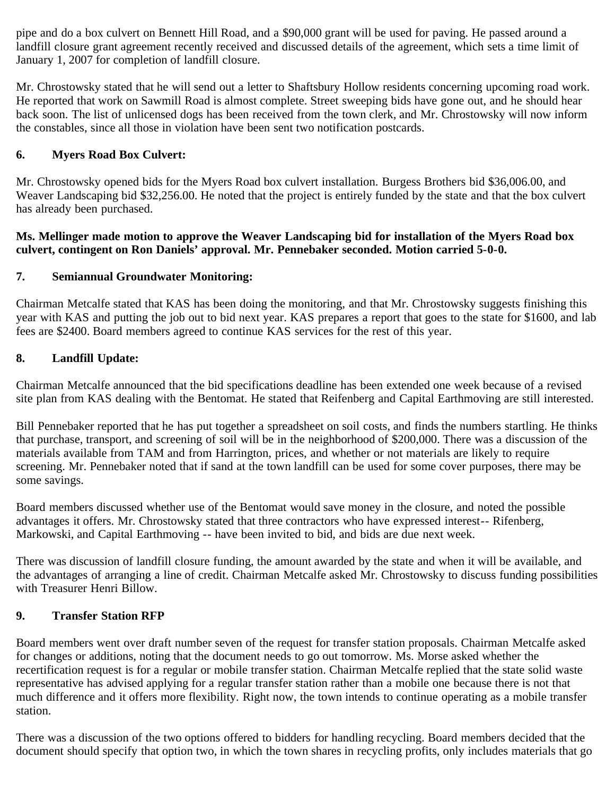pipe and do a box culvert on Bennett Hill Road, and a \$90,000 grant will be used for paving. He passed around a landfill closure grant agreement recently received and discussed details of the agreement, which sets a time limit of January 1, 2007 for completion of landfill closure.

Mr. Chrostowsky stated that he will send out a letter to Shaftsbury Hollow residents concerning upcoming road work. He reported that work on Sawmill Road is almost complete. Street sweeping bids have gone out, and he should hear back soon. The list of unlicensed dogs has been received from the town clerk, and Mr. Chrostowsky will now inform the constables, since all those in violation have been sent two notification postcards.

# **6. Myers Road Box Culvert:**

Mr. Chrostowsky opened bids for the Myers Road box culvert installation. Burgess Brothers bid \$36,006.00, and Weaver Landscaping bid \$32,256.00. He noted that the project is entirely funded by the state and that the box culvert has already been purchased.

### **Ms. Mellinger made motion to approve the Weaver Landscaping bid for installation of the Myers Road box culvert, contingent on Ron Daniels' approval. Mr. Pennebaker seconded. Motion carried 5-0-0.**

# **7. Semiannual Groundwater Monitoring:**

Chairman Metcalfe stated that KAS has been doing the monitoring, and that Mr. Chrostowsky suggests finishing this year with KAS and putting the job out to bid next year. KAS prepares a report that goes to the state for \$1600, and lab fees are \$2400. Board members agreed to continue KAS services for the rest of this year.

# **8. Landfill Update:**

Chairman Metcalfe announced that the bid specifications deadline has been extended one week because of a revised site plan from KAS dealing with the Bentomat. He stated that Reifenberg and Capital Earthmoving are still interested.

Bill Pennebaker reported that he has put together a spreadsheet on soil costs, and finds the numbers startling. He thinks that purchase, transport, and screening of soil will be in the neighborhood of \$200,000. There was a discussion of the materials available from TAM and from Harrington, prices, and whether or not materials are likely to require screening. Mr. Pennebaker noted that if sand at the town landfill can be used for some cover purposes, there may be some savings.

Board members discussed whether use of the Bentomat would save money in the closure, and noted the possible advantages it offers. Mr. Chrostowsky stated that three contractors who have expressed interest-- Rifenberg, Markowski, and Capital Earthmoving -- have been invited to bid, and bids are due next week.

There was discussion of landfill closure funding, the amount awarded by the state and when it will be available, and the advantages of arranging a line of credit. Chairman Metcalfe asked Mr. Chrostowsky to discuss funding possibilities with Treasurer Henri Billow.

## **9. Transfer Station RFP**

Board members went over draft number seven of the request for transfer station proposals. Chairman Metcalfe asked for changes or additions, noting that the document needs to go out tomorrow. Ms. Morse asked whether the recertification request is for a regular or mobile transfer station. Chairman Metcalfe replied that the state solid waste representative has advised applying for a regular transfer station rather than a mobile one because there is not that much difference and it offers more flexibility. Right now, the town intends to continue operating as a mobile transfer station.

There was a discussion of the two options offered to bidders for handling recycling. Board members decided that the document should specify that option two, in which the town shares in recycling profits, only includes materials that go